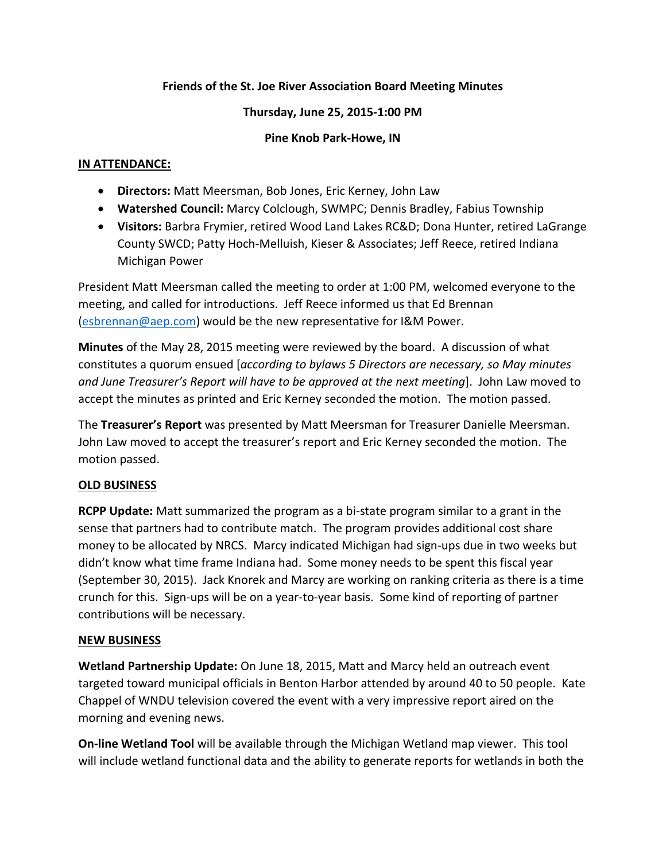## **Friends of the St. Joe River Association Board Meeting Minutes**

#### **Thursday, June 25, 2015-1:00 PM**

## **Pine Knob Park-Howe, IN**

## **IN ATTENDANCE:**

- **Directors:** Matt Meersman, Bob Jones, Eric Kerney, John Law
- **Watershed Council:** Marcy Colclough, SWMPC; Dennis Bradley, Fabius Township
- **Visitors:** Barbra Frymier, retired Wood Land Lakes RC&D; Dona Hunter, retired LaGrange County SWCD; Patty Hoch-Melluish, Kieser & Associates; Jeff Reece, retired Indiana Michigan Power

President Matt Meersman called the meeting to order at 1:00 PM, welcomed everyone to the meeting, and called for introductions. Jeff Reece informed us that Ed Brennan [\(esbrennan@aep.com\)](mailto:esbrennan@aep.com) would be the new representative for I&M Power.

**Minutes** of the May 28, 2015 meeting were reviewed by the board. A discussion of what constitutes a quorum ensued [*according to bylaws 5 Directors are necessary, so May minutes and June Treasurer's Report will have to be approved at the next meeting*]. John Law moved to accept the minutes as printed and Eric Kerney seconded the motion. The motion passed.

The **Treasurer's Report** was presented by Matt Meersman for Treasurer Danielle Meersman. John Law moved to accept the treasurer's report and Eric Kerney seconded the motion. The motion passed.

# **OLD BUSINESS**

**RCPP Update:** Matt summarized the program as a bi-state program similar to a grant in the sense that partners had to contribute match. The program provides additional cost share money to be allocated by NRCS. Marcy indicated Michigan had sign-ups due in two weeks but didn't know what time frame Indiana had. Some money needs to be spent this fiscal year (September 30, 2015). Jack Knorek and Marcy are working on ranking criteria as there is a time crunch for this. Sign-ups will be on a year-to-year basis. Some kind of reporting of partner contributions will be necessary.

#### **NEW BUSINESS**

**Wetland Partnership Update:** On June 18, 2015, Matt and Marcy held an outreach event targeted toward municipal officials in Benton Harbor attended by around 40 to 50 people. Kate Chappel of WNDU television covered the event with a very impressive report aired on the morning and evening news.

**On-line Wetland Tool** will be available through the Michigan Wetland map viewer. This tool will include wetland functional data and the ability to generate reports for wetlands in both the